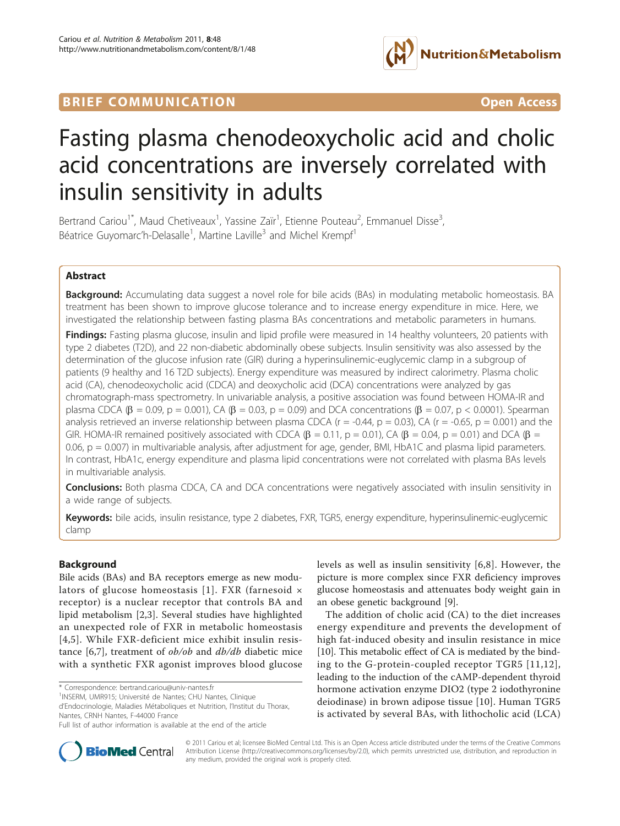# **BRIEF COMMUNICATION COMMUNICATION**



# Fasting plasma chenodeoxycholic acid and cholic acid concentrations are inversely correlated with insulin sensitivity in adults

Bertrand Cariou<sup>1\*</sup>, Maud Chetiveaux<sup>1</sup>, Yassine Zaïr<sup>1</sup>, Etienne Pouteau<sup>2</sup>, Emmanuel Disse<sup>3</sup> , Béatrice Guyomarc'h-Delasalle<sup>1</sup>, Martine Laville<sup>3</sup> and Michel Krempf<sup>1</sup>

# Abstract

**Background:** Accumulating data suggest a novel role for bile acids (BAs) in modulating metabolic homeostasis. BA treatment has been shown to improve glucose tolerance and to increase energy expenditure in mice. Here, we investigated the relationship between fasting plasma BAs concentrations and metabolic parameters in humans.

Findings: Fasting plasma glucose, insulin and lipid profile were measured in 14 healthy volunteers, 20 patients with type 2 diabetes (T2D), and 22 non-diabetic abdominally obese subjects. Insulin sensitivity was also assessed by the determination of the glucose infusion rate (GIR) during a hyperinsulinemic-euglycemic clamp in a subgroup of patients (9 healthy and 16 T2D subjects). Energy expenditure was measured by indirect calorimetry. Plasma cholic acid (CA), chenodeoxycholic acid (CDCA) and deoxycholic acid (DCA) concentrations were analyzed by gas chromatograph-mass spectrometry. In univariable analysis, a positive association was found between HOMA-IR and plasma CDCA ( $\beta$  = 0.09, p = 0.001), CA ( $\beta$  = 0.03, p = 0.09) and DCA concentrations ( $\beta$  = 0.07, p < 0.0001). Spearman analysis retrieved an inverse relationship between plasma CDCA ( $r = -0.44$ ,  $p = 0.03$ ), CA ( $r = -0.65$ ,  $p = 0.001$ ) and the GIR. HOMA-IR remained positively associated with CDCA ( $\beta$  = 0.11, p = 0.01), CA ( $\beta$  = 0.04, p = 0.01) and DCA ( $\beta$  = 0.06, p = 0.007) in multivariable analysis, after adjustment for age, gender, BMI, HbA1C and plasma lipid parameters. In contrast, HbA1c, energy expenditure and plasma lipid concentrations were not correlated with plasma BAs levels in multivariable analysis.

**Conclusions:** Both plasma CDCA, CA and DCA concentrations were negatively associated with insulin sensitivity in a wide range of subjects.

Keywords: bile acids, insulin resistance, type 2 diabetes, FXR, TGR5, energy expenditure, hyperinsulinemic-euglycemic clamp

# Background

Bile acids (BAs) and BA receptors emerge as new modu-lators of glucose homeostasis [[1](#page-4-0)]. FXR (farnesoid  $\times$ receptor) is a nuclear receptor that controls BA and lipid metabolism [[2,3](#page-4-0)]. Several studies have highlighted an unexpected role of FXR in metabolic homeostasis [[4](#page-4-0),[5](#page-4-0)]. While FXR-deficient mice exhibit insulin resis-tance [\[6](#page-4-0),[7\]](#page-4-0), treatment of  $ob/ob$  and  $db/db$  diabetic mice with a synthetic FXR agonist improves blood glucose

\* Correspondence: [bertrand.cariou@univ-nantes.fr](mailto:bertrand.cariou@univ-nantes.fr)

levels as well as insulin sensitivity [\[6](#page-4-0),[8](#page-4-0)]. However, the picture is more complex since FXR deficiency improves glucose homeostasis and attenuates body weight gain in an obese genetic background [\[9](#page-5-0)].

The addition of cholic acid (CA) to the diet increases energy expenditure and prevents the development of high fat-induced obesity and insulin resistance in mice [[10\]](#page-5-0). This metabolic effect of CA is mediated by the binding to the G-protein-coupled receptor TGR5 [[11,12\]](#page-5-0), leading to the induction of the cAMP-dependent thyroid hormone activation enzyme DIO2 (type 2 iodothyronine deiodinase) in brown adipose tissue [[10\]](#page-5-0). Human TGR5 is activated by several BAs, with lithocholic acid (LCA)



© 2011 Cariou et al; licensee BioMed Central Ltd. This is an Open Access article distributed under the terms of the Creative Commons Attribution License [\(http://creativecommons.org/licenses/by/2.0](http://creativecommons.org/licenses/by/2.0)), which permits unrestricted use, distribution, and reproduction in any medium, provided the original work is properly cited.

<sup>&</sup>lt;sup>1</sup>INSERM, UMR915; Université de Nantes; CHU Nantes, Clinique d'Endocrinologie, Maladies Métaboliques et Nutrition, l'Institut du Thorax, Nantes, CRNH Nantes, F-44000 France

Full list of author information is available at the end of the article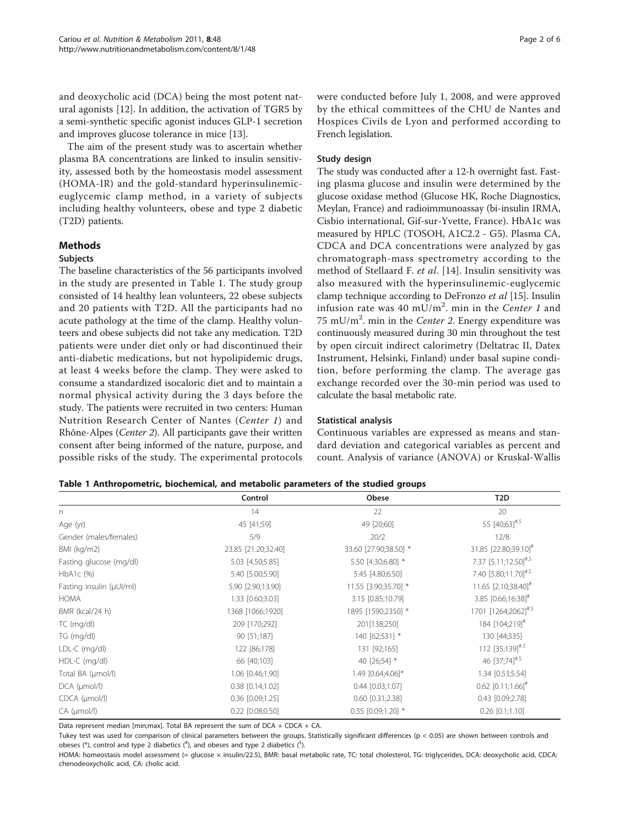<span id="page-1-0"></span>and deoxycholic acid (DCA) being the most potent natural agonists [[12\]](#page-5-0). In addition, the activation of TGR5 by a semi-synthetic specific agonist induces GLP-1 secretion and improves glucose tolerance in mice [\[13\]](#page-5-0).

The aim of the present study was to ascertain whether plasma BA concentrations are linked to insulin sensitivity, assessed both by the homeostasis model assessment (HOMA-IR) and the gold-standard hyperinsulinemiceuglycemic clamp method, in a variety of subjects including healthy volunteers, obese and type 2 diabetic (T2D) patients.

# Methods

#### Subjects

The baseline characteristics of the 56 participants involved in the study are presented in Table 1. The study group consisted of 14 healthy lean volunteers, 22 obese subjects and 20 patients with T2D. All the participants had no acute pathology at the time of the clamp. Healthy volunteers and obese subjects did not take any medication. T2D patients were under diet only or had discontinued their anti-diabetic medications, but not hypolipidemic drugs, at least 4 weeks before the clamp. They were asked to consume a standardized isocaloric diet and to maintain a normal physical activity during the 3 days before the study. The patients were recruited in two centers: Human Nutrition Research Center of Nantes (Center 1) and Rhône-Alpes (Center 2). All participants gave their written consent after being informed of the nature, purpose, and possible risks of the study. The experimental protocols were conducted before July 1, 2008, and were approved by the ethical committees of the CHU de Nantes and Hospices Civils de Lyon and performed according to French legislation.

# Study design

The study was conducted after a 12-h overnight fast. Fasting plasma glucose and insulin were determined by the glucose oxidase method (Glucose HK, Roche Diagnostics, Meylan, France) and radioimmunoassay (bi-insulin IRMA, Cisbio international, Gif-sur-Yvette, France). HbA1c was measured by HPLC (TOSOH, A1C2.2 - G5). Plasma CA, CDCA and DCA concentrations were analyzed by gas chromatograph-mass spectrometry according to the method of Stellaard F. et al. [[14](#page-5-0)]. Insulin sensitivity was also measured with the hyperinsulinemic-euglycemic clamp technique according to DeFronzo et al [\[15\]](#page-5-0). Insulin infusion rate was 40 mU/m<sup>2</sup>. min in the Center 1 and 75 mU/ $m^2$ . min in the Center 2. Energy expenditure was continuously measured during 30 min throughout the test by open circuit indirect calorimetry (Deltatrac II, Datex Instrument, Helsinki, Finland) under basal supine condition, before performing the clamp. The average gas exchange recorded over the 30-min period was used to calculate the basal metabolic rate.

# Statistical analysis

Continuous variables are expressed as means and standard deviation and categorical variables as percent and count. Analysis of variance (ANOVA) or Kruskal-Wallis

|  | Table 1 Anthropometric, biochemical, and metabolic parameters of the studied groups |  |  |  |  |  |  |
|--|-------------------------------------------------------------------------------------|--|--|--|--|--|--|
|--|-------------------------------------------------------------------------------------|--|--|--|--|--|--|

|                          | Control              | Obese                 | T <sub>2</sub> D                 |
|--------------------------|----------------------|-----------------------|----------------------------------|
| n                        | 14                   | 22                    | 20                               |
| Age (yr)                 | 45 [41;59]           | 49 [20;60]            | 55 [40;63] <sup>#,\$</sup>       |
| Gender (males/females)   | 5/9                  | 20/2                  | 12/8                             |
| BMI (kg/m2)              | 23.85 [21.20;32.40]  | 33.60 [27.90;38.50] * | 31.85 [22.80;39.10] <sup>#</sup> |
| Fasting glucose (mg/dl)  | 5.03 [4.50;5.85]     | 5.50 [4.30;6.80] *    | 7.37 [5.11;12.50]#,\$            |
| $HbA1c$ $(%)$            | 5.40 [5.00;5.90]     | 5.45 [4.80;6.50]      | 7.40 [5.80;11.70]#,\$            |
| Fasting insulin (µUI/ml) | 5.90 [2.90;13.90]    | 11.55 [3.90;35.70] *  | 11.65 [2.10;38.40] <sup>#</sup>  |
| HOMA                     | 1.33 [0.60;3.03]     | 3.15 [0.85;10.79]     | 3.85 $[0.66;16.38]$ <sup>#</sup> |
| BMR (kcal/24 h)          | 1368 [1066;1920]     | 1895 [1590;2350] *    | 1701 [1264;2062] <sup>#,\$</sup> |
| TC (mg/dl)               | 209 [170;292]        | 201[138;250]          | 184 [104;219] <sup>#</sup>       |
| TG (mg/dl)               | 90 [51;187]          | 140 [62;531] *        | 130 [44;335]                     |
| $LDL-C$ (mg/dl)          | 122 [86;178]         | 131 [92;165]          | 112 [35;139]#,\$                 |
| HDL-C (mg/dl)            | 66 [40;103]          | 40 [26;54] *          | 46 [37;74] <sup>#,\$</sup>       |
| Total BA (µmol/l)        | 1.06 [0.46;1.90]     | 1.49 [0.64;4.06]*     | 1.34 [0.53;5.54]                 |
| $DCA$ ( $\mu$ mol/l)     | $0.38$ $[0.14;1.02]$ | $0.44$ $[0.03;1.07]$  | $0.62$ [0.11;1.66] <sup>#</sup>  |
| CDCA (µmol/l)            | 0.36 [0.09;1.25]     | $0.60$ $[0.31;2.38]$  | 0.43 [0.09;2.78]                 |
| CA (µmol/l)              | $0.22$ [0.08;0.50]   | 0.35 [0.09;1.20] *    | $0.26$ $[0.1;1.10]$              |

Data represent median [min;max]. Total BA represent the sum of DCA + CDCA + CA

Tukey test was used for comparison of clinical parameters between the groups. Statistically significant differences (p < 0.05) are shown between controls and obeses (\*), control and type 2 diabetics ( $*$ ), and obeses and type 2 diabetics ( $*$ ).

HOMA: homeostasis model assessment (= glucose × insulin/22.5), BMR: basal metabolic rate, TC: total cholesterol, TG: triglycerides, DCA: deoxycholic acid, CDCA: chenodeoxycholic acid, CA: cholic acid.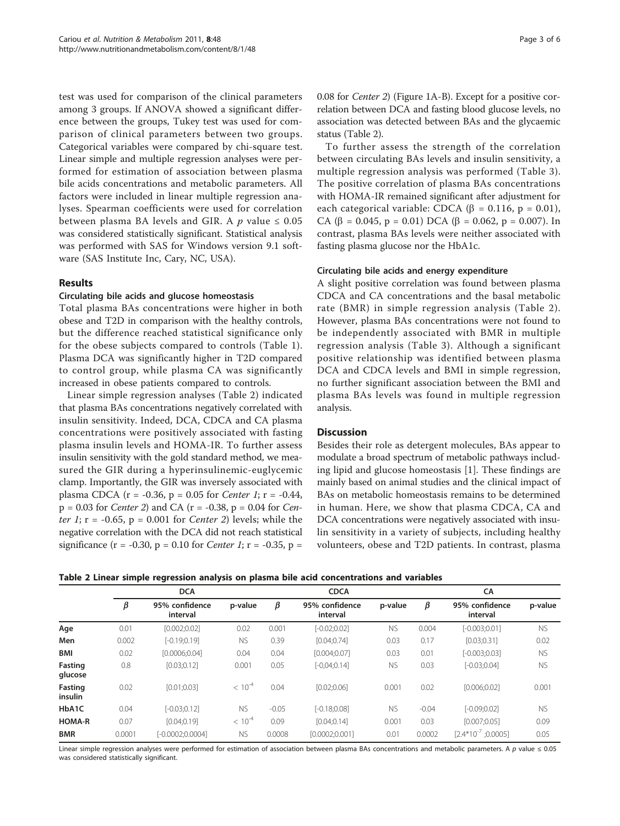test was used for comparison of the clinical parameters among 3 groups. If ANOVA showed a significant difference between the groups, Tukey test was used for comparison of clinical parameters between two groups. Categorical variables were compared by chi-square test. Linear simple and multiple regression analyses were performed for estimation of association between plasma bile acids concentrations and metabolic parameters. All factors were included in linear multiple regression analyses. Spearman coefficients were used for correlation between plasma BA levels and GIR. A  $p$  value  $\leq 0.05$ was considered statistically significant. Statistical analysis was performed with SAS for Windows version 9.1 software (SAS Institute Inc, Cary, NC, USA).

# Results

# Circulating bile acids and glucose homeostasis

Total plasma BAs concentrations were higher in both obese and T2D in comparison with the healthy controls, but the difference reached statistical significance only for the obese subjects compared to controls (Table [1](#page-1-0)). Plasma DCA was significantly higher in T2D compared to control group, while plasma CA was significantly increased in obese patients compared to controls.

Linear simple regression analyses (Table 2) indicated that plasma BAs concentrations negatively correlated with insulin sensitivity. Indeed, DCA, CDCA and CA plasma concentrations were positively associated with fasting plasma insulin levels and HOMA-IR. To further assess insulin sensitivity with the gold standard method, we measured the GIR during a hyperinsulinemic-euglycemic clamp. Importantly, the GIR was inversely associated with plasma CDCA ( $r = -0.36$ ,  $p = 0.05$  for *Center 1*;  $r = -0.44$ ,  $p = 0.03$  for *Center 2*) and CA ( $r = -0.38$ ,  $p = 0.04$  for *Cen*ter 1;  $r = -0.65$ ,  $p = 0.001$  for *Center 2*) levels; while the negative correlation with the DCA did not reach statistical significance (r = -0.30, p = 0.10 for *Center 1*; r = -0.35, p = 0.08 for Center 2) (Figure [1A-B\)](#page-3-0). Except for a positive correlation between DCA and fasting blood glucose levels, no association was detected between BAs and the glycaemic status (Table 2).

To further assess the strength of the correlation between circulating BAs levels and insulin sensitivity, a multiple regression analysis was performed (Table [3\)](#page-4-0). The positive correlation of plasma BAs concentrations with HOMA-IR remained significant after adjustment for each categorical variable: CDCA ( $\beta$  = 0.116, p = 0.01), CA ( $\beta$  = 0.045, p = 0.01) DCA ( $\beta$  = 0.062, p = 0.007). In contrast, plasma BAs levels were neither associated with fasting plasma glucose nor the HbA1c.

#### Circulating bile acids and energy expenditure

A slight positive correlation was found between plasma CDCA and CA concentrations and the basal metabolic rate (BMR) in simple regression analysis (Table 2). However, plasma BAs concentrations were not found to be independently associated with BMR in multiple regression analysis (Table [3](#page-4-0)). Although a significant positive relationship was identified between plasma DCA and CDCA levels and BMI in simple regression, no further significant association between the BMI and plasma BAs levels was found in multiple regression analysis.

# **Discussion**

Besides their role as detergent molecules, BAs appear to modulate a broad spectrum of metabolic pathways including lipid and glucose homeostasis [\[1](#page-4-0)]. These findings are mainly based on animal studies and the clinical impact of BAs on metabolic homeostasis remains to be determined in human. Here, we show that plasma CDCA, CA and DCA concentrations were negatively associated with insulin sensitivity in a variety of subjects, including healthy volunteers, obese and T2D patients. In contrast, plasma

Table 2 Linear simple regression analysis on plasma bile acid concentrations and variables

|                           | <b>DCA</b> |                            |             |         | <b>CDCA</b>                |           |         | CA                         |           |  |
|---------------------------|------------|----------------------------|-------------|---------|----------------------------|-----------|---------|----------------------------|-----------|--|
|                           | β          | 95% confidence<br>interval | p-value     | β       | 95% confidence<br>interval | p-value   | β       | 95% confidence<br>interval | p-value   |  |
| Age                       | 0.01       | [0.002;0.02]               | 0.02        | 0.001   | $[-0.02:0.02]$             | <b>NS</b> | 0.004   | $[-0.003;0.01]$            | <b>NS</b> |  |
| Men                       | 0.002      | $[-0.19:0.19]$             | <b>NS</b>   | 0.39    | [0.04:0.74]                | 0.03      | 0.17    | [0.03:0.31]                | 0.02      |  |
| <b>BMI</b>                | 0.02       | [0.0006:0.04]              | 0.04        | 0.04    | [0.004:0.07]               | 0.03      | 0.01    | $[-0.003;0.03]$            | <b>NS</b> |  |
| <b>Fasting</b><br>glucose | 0.8        | [0.03;0.12]                | 0.001       | 0.05    | $[-0.04;0.14]$             | <b>NS</b> | 0.03    | $[-0.03:0.04]$             | <b>NS</b> |  |
| <b>Fasting</b><br>insulin | 0.02       | [0.01;0.03]                | $< 10^{-4}$ | 0.04    | [0.02:0.06]                | 0.001     | 0.02    | [0.006:0.02]               | 0.001     |  |
| HbA1C                     | 0.04       | $[-0.03;0.12]$             | <b>NS</b>   | $-0.05$ | $[-0.18:0.08]$             | <b>NS</b> | $-0.04$ | $[-0.09:0.02]$             | <b>NS</b> |  |
| <b>HOMA-R</b>             | 0.07       | [0.04;0.19]                | $< 10^{-4}$ | 0.09    | [0.04:0.14]                | 0.001     | 0.03    | [0.007:0.05]               | 0.09      |  |
| <b>BMR</b>                | 0.0001     | $[-0.0002;0.0004]$         | <b>NS</b>   | 0.0008  | [0.0002;0.001]             | 0.01      | 0.0002  | $[2.4*10^{-7} : 0.0005]$   | 0.05      |  |

Linear simple regression analyses were performed for estimation of association between plasma BAs concentrations and metabolic parameters. A p value ≤ 0.05 was considered statistically significant.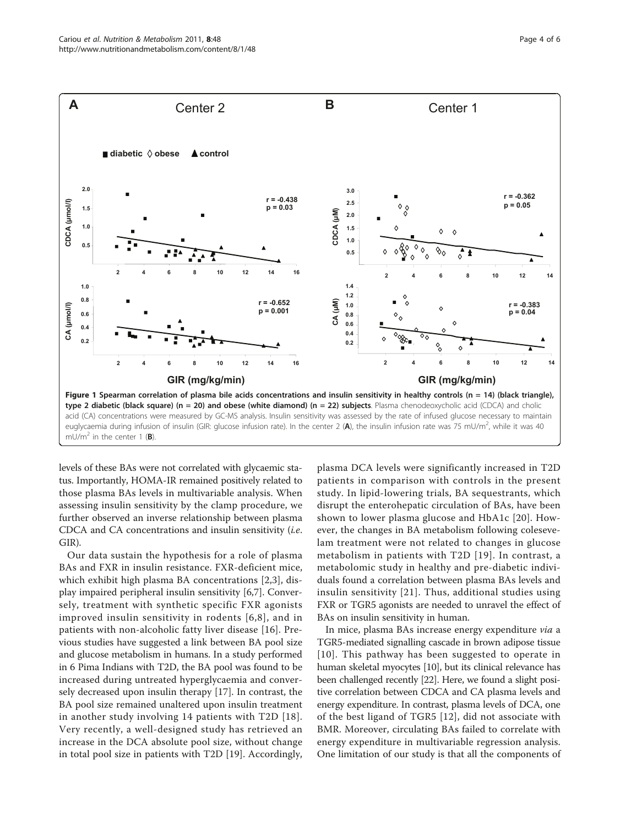<span id="page-3-0"></span>

levels of these BAs were not correlated with glycaemic status. Importantly, HOMA-IR remained positively related to those plasma BAs levels in multivariable analysis. When assessing insulin sensitivity by the clamp procedure, we further observed an inverse relationship between plasma CDCA and CA concentrations and insulin sensitivity (i.e. GIR).

Our data sustain the hypothesis for a role of plasma BAs and FXR in insulin resistance. FXR-deficient mice, which exhibit high plasma BA concentrations [[2](#page-4-0),[3\]](#page-4-0), display impaired peripheral insulin sensitivity [[6,7\]](#page-4-0). Conversely, treatment with synthetic specific FXR agonists improved insulin sensitivity in rodents [[6,8\]](#page-4-0), and in patients with non-alcoholic fatty liver disease [\[16](#page-5-0)]. Previous studies have suggested a link between BA pool size and glucose metabolism in humans. In a study performed in 6 Pima Indians with T2D, the BA pool was found to be increased during untreated hyperglycaemia and conversely decreased upon insulin therapy [\[17](#page-5-0)]. In contrast, the BA pool size remained unaltered upon insulin treatment in another study involving 14 patients with T2D [[18\]](#page-5-0). Very recently, a well-designed study has retrieved an increase in the DCA absolute pool size, without change in total pool size in patients with T2D [\[19](#page-5-0)]. Accordingly,

plasma DCA levels were significantly increased in T2D patients in comparison with controls in the present study. In lipid-lowering trials, BA sequestrants, which disrupt the enterohepatic circulation of BAs, have been shown to lower plasma glucose and HbA1c [[20](#page-5-0)]. However, the changes in BA metabolism following colesevelam treatment were not related to changes in glucose metabolism in patients with T2D [[19\]](#page-5-0). In contrast, a metabolomic study in healthy and pre-diabetic individuals found a correlation between plasma BAs levels and insulin sensitivity [[21](#page-5-0)]. Thus, additional studies using FXR or TGR5 agonists are needed to unravel the effect of BAs on insulin sensitivity in human.

In mice, plasma BAs increase energy expenditure via a TGR5-mediated signalling cascade in brown adipose tissue [[10\]](#page-5-0). This pathway has been suggested to operate in human skeletal myocytes [[10](#page-5-0)], but its clinical relevance has been challenged recently [\[22\]](#page-5-0). Here, we found a slight positive correlation between CDCA and CA plasma levels and energy expenditure. In contrast, plasma levels of DCA, one of the best ligand of TGR5 [[12](#page-5-0)], did not associate with BMR. Moreover, circulating BAs failed to correlate with energy expenditure in multivariable regression analysis. One limitation of our study is that all the components of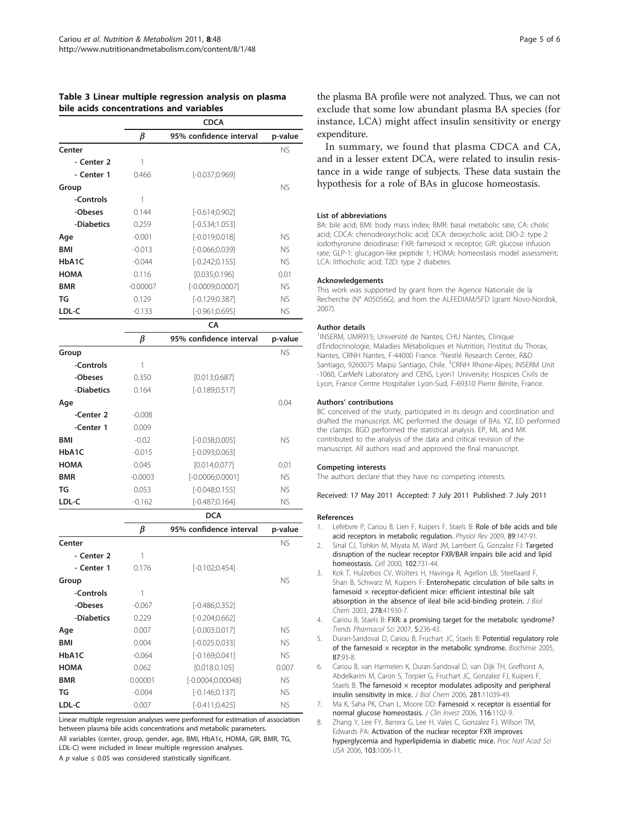### <span id="page-4-0"></span>Table 3 Linear multiple regression analysis on plasma bile acids concentrations and variables

|             |              | <b>CDCA</b>             |           |
|-------------|--------------|-------------------------|-----------|
|             | β            | 95% confidence interval | p-value   |
| Center      |              |                         | <b>NS</b> |
| - Center 2  | 1            |                         |           |
| - Center 1  | 0.466        | $[-0.037;0.969]$        |           |
| Group       |              |                         | <b>NS</b> |
| -Controls   | 1            |                         |           |
| -Obeses     | 0.144        | $[-0.614; 0.902]$       |           |
| -Diabetics  | 0.259        | $[-0.534;1.053]$        |           |
| Age         | $-0.001$     | $[-0.019;0.018]$        | <b>NS</b> |
| <b>BMI</b>  | $-0.013$     | $[-0.066;0.039]$        | <b>NS</b> |
| HbA1C       | $-0.044$     | $[-0.242;0.155]$        | <b>NS</b> |
| <b>HOMA</b> | 0.116        | [0.035;0.196]           | 0.01      |
| <b>BMR</b>  | $-0.00007$   | $[-0.0009;0.0007]$      | <b>NS</b> |
| TG          | 0.129        | $[-0.129; 0.387]$       | <b>NS</b> |
| LDL-C       | $-0.133$     | $[-0.961;0.695]$        | <b>NS</b> |
|             |              | CA                      |           |
|             | β            | 95% confidence interval | p-value   |
| Group       |              |                         | <b>NS</b> |
| -Controls   | $\mathbf{1}$ |                         |           |
| -Obeses     | 0.350        | [0.013; 0.687]          |           |
| -Diabetics  | 0.164        | $[-0.189;0.517]$        |           |
| Age         |              |                         | 0.04      |
| -Center 2   | $-0.008$     |                         |           |
| -Center 1   | 0.009        |                         |           |
| <b>BMI</b>  | $-0.02$      | $[-0.038;0.005]$        | <b>NS</b> |
| HbA1C       | $-0.015$     | $[-0.093;0.063]$        |           |
| <b>HOMA</b> | 0.045        | [0.014; 0.077]          | 0.01      |
| <b>BMR</b>  | $-0.0003$    | $[-0.0006;0.0001]$      | <b>NS</b> |
| TG          | 0.053        | $[-0.048;0.155]$        | <b>NS</b> |
| LDL-C       | $-0.162$     | $[-0.487;0.164]$        | <b>NS</b> |
|             |              | <b>DCA</b>              |           |

|             | β        | 95% confidence interval | p-value   |  |  |
|-------------|----------|-------------------------|-----------|--|--|
| Center      |          |                         | <b>NS</b> |  |  |
| - Center 2  | 1        |                         |           |  |  |
| - Center 1  | 0.176    | $[-0.102;0.454]$        |           |  |  |
| Group       |          |                         | <b>NS</b> |  |  |
| -Controls   | 1        |                         |           |  |  |
| -Obeses     | $-0.067$ | [-0.486;0.352]          |           |  |  |
| -Diabetics  | 0.229    | $[-0.204; 0.662]$       |           |  |  |
| Age         | 0.007    | $[-0.003.0.017]$        | <b>NS</b> |  |  |
| <b>BMI</b>  | 0.004    | $[-0.025.0.033]$        | <b>NS</b> |  |  |
| HbA1C       | $-0.064$ | $[-0.169;0.041]$        | <b>NS</b> |  |  |
| <b>HOMA</b> | 0.062    | [0.018.0.105]           | 0.007     |  |  |
| <b>BMR</b>  | 0.00001  | $[-0.0004;0.00048]$     | <b>NS</b> |  |  |
| TG          | $-0.004$ | $[-0.146;0.137]$        | <b>NS</b> |  |  |
| LDL-C       | 0.007    | $[-0.411; 0.425]$       | <b>NS</b> |  |  |

Linear multiple regression analyses were performed for estimation of association between plasma bile acids concentrations and metabolic parameters. All variables (center, group, gender, age, BMI, HbA1c, HOMA, GIR, BMR, TG, LDL-C) were included in linear multiple regression analyses. A  $p$  value  $\leq$  0.05 was considered statistically significant.

the plasma BA profile were not analyzed. Thus, we can not exclude that some low abundant plasma BA species (for instance, LCA) might affect insulin sensitivity or energy expenditure.

In summary, we found that plasma CDCA and CA, and in a lesser extent DCA, were related to insulin resistance in a wide range of subjects. These data sustain the hypothesis for a role of BAs in glucose homeostasis.

#### List of abbreviations

BA: bile acid; BMI: body mass index; BMR: basal metabolic rate; CA: cholic acid; CDCA: chenodeoxycholic acid; DCA: deoxycholic acid; DIO-2: type 2 iodothyronine deiodinase; FXR: farnesoid  $\times$  receptor; GIR: glucose infusion rate; GLP-1: glucagon-like peptide 1; HOMA: homeostasis model assessment; LCA: lithocholic acid; T2D: type 2 diabetes.

#### Acknowledgements

This work was supported by grant from the Agence Nationale de la Recherche (N° A05056G), and from the ALFEDIAM/SFD (grant Novo-Nordisk, 2007).

#### Author details

<sup>1</sup>INSERM, UMR915; Université de Nantes; CHU Nantes, Clinique d'Endocrinologie, Maladies Métaboliques et Nutrition, l'Institut du Thorax, Nantes, CRNH Nantes, F-44000 France. <sup>2</sup>Nestlé Research Center, R&D Santiago, 9260075 Maipú Santiago, Chile. <sup>3</sup>CRNH Rhone-Alpes; INSERM Unit -1060, CarMeN Laboratory and CENS, Lyon1 University; Hospices Civils de Lyon, France Centre Hospitalier Lyon-Sud, F-69310 Pierre Bénite, France.

#### Authors' contributions

BC conceived of the study, participated in its design and coordination and drafted the manuscript. MC performed the dosage of BAs. YZ, ED performed the clamps. BGD performed the statistical analysis. EP, ML and MK contributed to the analysis of the data and critical revision of the manuscript. All authors read and approved the final manuscript.

#### Competing interests

The authors declare that they have no competing interests.

Received: 17 May 2011 Accepted: 7 July 2011 Published: 7 July 2011

#### References

- 1. Lefebvre P, Cariou B, Lien F, Kuipers F, Staels B: [Role of bile acids and bile](http://www.ncbi.nlm.nih.gov/pubmed/19126757?dopt=Abstract) [acid receptors in metabolic regulation.](http://www.ncbi.nlm.nih.gov/pubmed/19126757?dopt=Abstract) Physiol Rev 2009, 89:147-91.
- Sinal CJ, Tohkin M, Miyata M, Ward JM, Lambert G, Gonzalez FJ: [Targeted](http://www.ncbi.nlm.nih.gov/pubmed/11030617?dopt=Abstract) [disruption of the nuclear receptor FXR/BAR impairs bile acid and lipid](http://www.ncbi.nlm.nih.gov/pubmed/11030617?dopt=Abstract) [homeostasis.](http://www.ncbi.nlm.nih.gov/pubmed/11030617?dopt=Abstract) Cell 2000, 102:731-44.
- 3. Kok T, Hulzebos CV, Wolters H, Havinga R, Agellon LB, Steellaard F, Shan B, Schwarz M, Kuipers F: [Enterohepatic circulation of bile salts in](http://www.ncbi.nlm.nih.gov/pubmed/12917447?dopt=Abstract) farnesoid  $\times$  receptor-deficient mice: efficient intestinal bile salt [absorption in the absence of ileal bile acid-binding protein.](http://www.ncbi.nlm.nih.gov/pubmed/12917447?dopt=Abstract) J Biol Chem 2003, 278:41930-7.
- 4. Cariou B, Staels B: FXR: a promising target for the metabolic syndrome? Trends Pharmacol Sci 2007, 5:236-43.
- Duran-Sandoval D, Cariou B, Fruchart JC, Staels B: [Potential regulatory role](http://www.ncbi.nlm.nih.gov/pubmed/15733743?dopt=Abstract) of the farnesoid  $\times$  receptor in the metabolic syndrome. Biochimie 2005, 87:93-8.
- 6. Cariou B, van Harmelen K, Duran-Sandoval D, van Dijk TH, Grefhorst A, Abdelkarim M, Caron S, Torpier G, Fruchart JC, Gonzalez FJ, Kuipers F, Staels B: The farnesoid  $\times$  receptor modulates adiposity and peripheral [insulin sensitivity in mice.](http://www.ncbi.nlm.nih.gov/pubmed/16446356?dopt=Abstract) J Biol Chem 2006, 281:11039-49.
- 7. Ma K, Saha PK, Chan L, Moore DD: Farnesoid  $\times$  receptor is essential for [normal glucose homeostasis.](http://www.ncbi.nlm.nih.gov/pubmed/16557297?dopt=Abstract) J Clin Invest 2006, 116:1102-9.
- 8. Zhang Y, Lee FY, Barrera G, Lee H, Vales C, Gonzalez FJ, Willson TM, Edwards PA: [Activation of the nuclear receptor FXR improves](http://www.ncbi.nlm.nih.gov/pubmed/16410358?dopt=Abstract) [hyperglycemia and hyperlipidemia in diabetic mice.](http://www.ncbi.nlm.nih.gov/pubmed/16410358?dopt=Abstract) Proc Natl Acad Sci USA 2006, 103:1006-11.